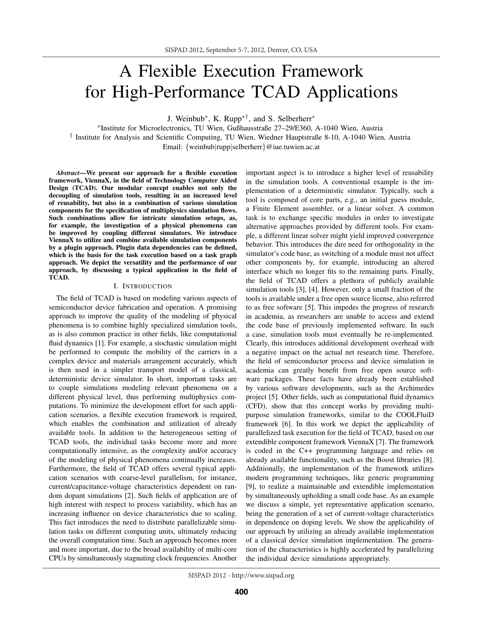# A Flexible Execution Framework for High-Performance TCAD Applications

J. Weinbub∗, K. Rupp∗†, and S. Selberherr<sup>∗</sup>

<sup>∗</sup>Institute for Microelectronics, TU Wien, Gußhausstraße 27–29/E360, A-1040 Wien, Austria † Institute for Analysis and Scientific Computing, TU Wien, Wiedner Hauptstraße 8-10, A-1040 Wien, Austria Email: {weinbub|rupp|selberherr}@iue.tuwien.ac.at

Abstract—We present our approach for a flexible execution framework, ViennaX, in the field of Technology Computer Aided Design (TCAD). Our modular concept enables not only the decoupling of simulation tools, resulting in an increased level of reusability, but also in a combination of various simulation components for the specification of multiphysics simulation flows. Such combinations allow for intricate simulation setups, as, for example, the investigation of a physical phenomena can be improved by coupling different simulators. We introduce ViennaX to utilize and combine available simulation components by a plugin approach. Plugin data dependencies can be defined, which is the basis for the task execution based on a task graph approach. We depict the versatility and the performance of our approach, by discussing a typical application in the field of TCAD.

## I. INTRODUCTION

The field of TCAD is based on modeling various aspects of semiconductor device fabrication and operation. A promising approach to improve the quality of the modeling of physical phenomena is to combine highly specialized simulation tools, as is also common practice in other fields, like computational fluid dynamics [1]. For example, a stochastic simulation might be performed to compute the mobility of the carriers in a complex device and materials arrangement accurately, which is then used in a simpler transport model of a classical, deterministic device simulator. In short, important tasks are to couple simulations modeling relevant phenomena on a different physical level, thus performing multiphysics computations. To minimize the development effort for such application scenarios, a flexible execution framework is required, which enables the combination and utilization of already available tools. In addition to the heterogeneous setting of TCAD tools, the individual tasks become more and more computationally intensive, as the complexity and/or accuracy of the modeling of physical phenomena continually increases. Furthermore, the field of TCAD offers several typical application scenarios with coarse-level parallelism, for instance, current/capacitance-voltage characteristics dependent on random dopant simulations [2]. Such fields of application are of high interest with respect to process variability, which has an increasing influence on device characteristics due to scaling. This fact introduces the need to distribute parallelizable simulation tasks on different computing units, ultimately reducing the overall computation time. Such an approach becomes more and more important, due to the broad availability of multi-core CPUs by simultaneously stagnating clock frequencies. Another

important aspect is to introduce a higher level of reusability in the simulation tools. A conventional example is the implementation of a deterministic simulator. Typically, such a tool is composed of core parts, e.g., an initial guess module, a Finite Element assembler, or a linear solver. A common task is to exchange specific modules in order to investigate alternative approaches provided by different tools. For example, a different linear solver might yield improved convergence behavior. This introduces the dire need for orthogonality in the simulator's code base, as switching of a module must not affect other components by, for example, introducing an altered interface which no longer fits to the remaining parts. Finally, the field of TCAD offers a plethora of publicly available simulation tools [3], [4]. However, only a small fraction of the tools is available under a free open source license, also referred to as free software [5]. This impedes the progress of research in academia, as researchers are unable to access and extend the code base of previously implemented software. In such a case, simulation tools must eventually be re-implemented. Clearly, this introduces additional development overhead with a negative impact on the actual net research time. Therefore, the field of semiconductor process and device simulation in academia can greatly benefit from free open source software packages. These facts have already been established by various software developments, such as the Archimedes project [5]. Other fields, such as computational fluid dynamics (CFD), show that this concept works by providing multipurpose simulation frameworks, similar to the COOLFluiD framework [6]. In this work we depict the applicability of parallelized task execution for the field of TCAD, based on our extendible component framework ViennaX [7]. The framework is coded in the C++ programming language and relies on already available functionality, such as the Boost libraries [8]. Additionally, the implementation of the framework utilizes modern programming techniques, like generic programming [9], to realize a maintainable and extendible implementation by simultaneously upholding a small code base. As an example we discuss a simple, yet representative application scenario, being the generation of a set of current-voltage characteristics in dependence on doping levels. We show the applicability of our approach by utilizing an already available implementation of a classical device simulation implementation. The generation of the characteristics is highly accelerated by parallelizing the individual device simulations appropriately.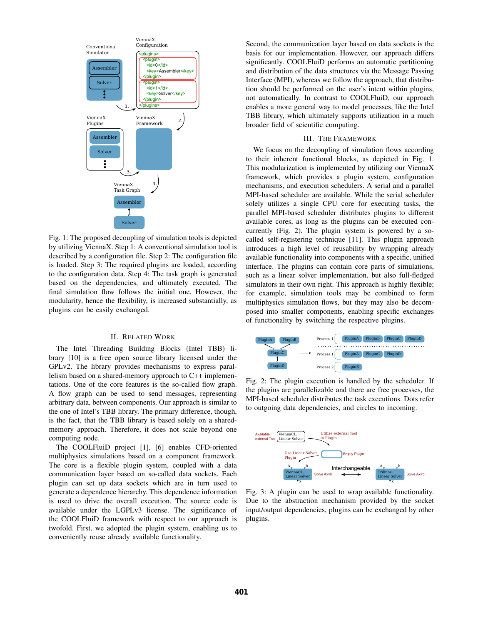

Fig. 1: The proposed decoupling of simulation tools is depicted by utilizing ViennaX. Step 1: A conventional simulation tool is described by a configuration file. Step 2: The configuration file is loaded. Step 3: The required plugins are loaded, according to the configuration data. Step 4: The task graph is generated based on the dependencies, and ultimately executed. The final simulation flow follows the initial one. However, the modularity, hence the flexibility, is increased substantially, as plugins can be easily exchanged.

# II. RELATED WORK

The Intel Threading Building Blocks (Intel TBB) library [10] is a free open source library licensed under the GPLv2. The library provides mechanisms to express parallelism based on a shared-memory approach to C++ implementations. One of the core features is the so-called flow graph. A flow graph can be used to send messages, representing arbitrary data, between components. Our approach is similar to the one of Intel's TBB library. The primary difference, though, is the fact, that the TBB library is based solely on a sharedmemory approach. Therefore, it does not scale beyond one computing node.

The COOLFluiD project [1], [6] enables CFD-oriented multiphysics simulations based on a component framework. The core is a flexible plugin system, coupled with a data communication layer based on so-called data sockets. Each plugin can set up data sockets which are in turn used to generate a dependence hierarchy. This dependence information is used to drive the overall execution. The source code is available under the LGPLv3 license. The significance of the COOLFluiD framework with respect to our approach is twofold. First, we adopted the plugin system, enabling us to conveniently reuse already available functionality.

Second, the communication layer based on data sockets is the basis for our implementation. However, our approach differs significantly. COOLFluiD performs an automatic partitioning and distribution of the data structures via the Message Passing Interface (MPI), whereas we follow the approach, that distribution should be performed on the user's intent within plugins, not automatically. In contrast to COOLFluiD, our approach enables a more general way to model processes, like the Intel TBB library, which ultimately supports utilization in a much broader field of scientific computing.

# III. THE FRAMEWORK

We focus on the decoupling of simulation flows according to their inherent functional blocks, as depicted in Fig. 1. This modularization is implemented by utilizing our ViennaX framework, which provides a plugin system, configuration mechanisms, and execution schedulers. A serial and a parallel MPI-based scheduler are available. While the serial scheduler solely utilizes a single CPU core for executing tasks, the parallel MPI-based scheduler distributes plugins to different available cores, as long as the plugins can be executed concurrently (Fig. 2). The plugin system is powered by a socalled self-registering technique [11]. This plugin approach introduces a high level of reusability by wrapping already available functionality into components with a specific, unified interface. The plugins can contain core parts of simulations, such as a linear solver implementation, but also full-fledged simulators in their own right. This approach is highly flexible; for example, simulation tools may be combined to form multiphysics simulation flows, but they may also be decomposed into smaller components, enabling specific exchanges of functionality by switching the respective plugins.



Fig. 2: The plugin execution is handled by the scheduler. If the plugins are parallelizable and there are free processes, the MPI-based scheduler distributes the task executions. Dots refer to outgoing data dependencies, and circles to incoming.



Fig. 3: A plugin can be used to wrap available functionality. Due to the abstraction mechanism provided by the socket input/output dependencies, plugins can be exchanged by other plugins.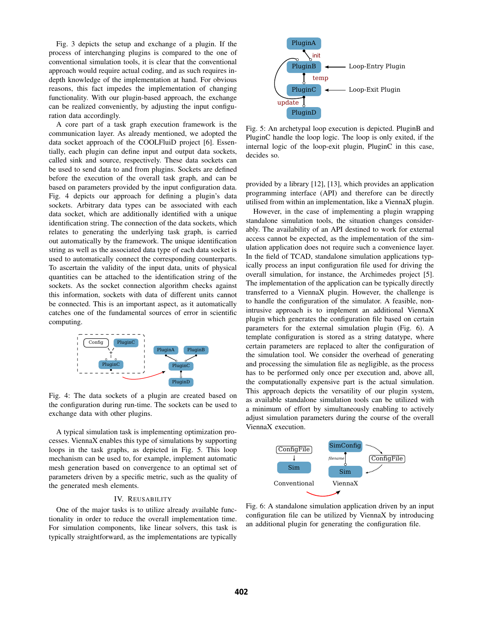Fig. 3 depicts the setup and exchange of a plugin. If the process of interchanging plugins is compared to the one of conventional simulation tools, it is clear that the conventional approach would require actual coding, and as such requires indepth knowledge of the implementation at hand. For obvious reasons, this fact impedes the implementation of changing functionality. With our plugin-based approach, the exchange can be realized conveniently, by adjusting the input configuration data accordingly.

A core part of a task graph execution framework is the communication layer. As already mentioned, we adopted the data socket approach of the COOLFluiD project [6]. Essentially, each plugin can define input and output data sockets, called sink and source, respectively. These data sockets can be used to send data to and from plugins. Sockets are defined before the execution of the overall task graph, and can be based on parameters provided by the input configuration data. Fig. 4 depicts our approach for defining a plugin's data sockets. Arbitrary data types can be associated with each data socket, which are additionally identified with a unique identification string. The connection of the data sockets, which relates to generating the underlying task graph, is carried out automatically by the framework. The unique identification string as well as the associated data type of each data socket is used to automatically connect the corresponding counterparts. To ascertain the validity of the input data, units of physical quantities can be attached to the identification string of the sockets. As the socket connection algorithm checks against this information, sockets with data of different units cannot be connected. This is an important aspect, as it automatically catches one of the fundamental sources of error in scientific computing.



Fig. 4: The data sockets of a plugin are created based on the configuration during run-time. The sockets can be used to exchange data with other plugins.

A typical simulation task is implementing optimization processes. ViennaX enables this type of simulations by supporting loops in the task graphs, as depicted in Fig. 5. This loop mechanism can be used to, for example, implement automatic mesh generation based on convergence to an optimal set of parameters driven by a specific metric, such as the quality of the generated mesh elements.

# IV. REUSABILITY

One of the major tasks is to utilize already available functionality in order to reduce the overall implementation time. For simulation components, like linear solvers, this task is typically straightforward, as the implementations are typically



Fig. 5: An archetypal loop execution is depicted. PluginB and PluginC handle the loop logic. The loop is only exited, if the internal logic of the loop-exit plugin, PluginC in this case, decides so.

provided by a library [12], [13], which provides an application programming interface (API) and therefore can be directly utilised from within an implementation, like a ViennaX plugin.

However, in the case of implementing a plugin wrapping standalone simulation tools, the situation changes considerably. The availability of an API destined to work for external access cannot be expected, as the implementation of the simulation application does not require such a convenience layer. In the field of TCAD, standalone simulation applications typically process an input configuration file used for driving the overall simulation, for instance, the Archimedes project [5]. The implementation of the application can be typically directly transferred to a ViennaX plugin. However, the challenge is to handle the configuration of the simulator. A feasible, nonintrusive approach is to implement an additional ViennaX plugin which generates the configuration file based on certain parameters for the external simulation plugin (Fig. 6). A template configuration is stored as a string datatype, where certain parameters are replaced to alter the configuration of the simulation tool. We consider the overhead of generating and processing the simulation file as negligible, as the process has to be performed only once per execution and, above all, the computationally expensive part is the actual simulation. This approach depicts the versatility of our plugin system, as available standalone simulation tools can be utilized with a minimum of effort by simultaneously enabling to actively adjust simulation parameters during the course of the overall ViennaX execution.



Fig. 6: A standalone simulation application driven by an input configuration file can be utilized by ViennaX by introducing an additional plugin for generating the configuration file.